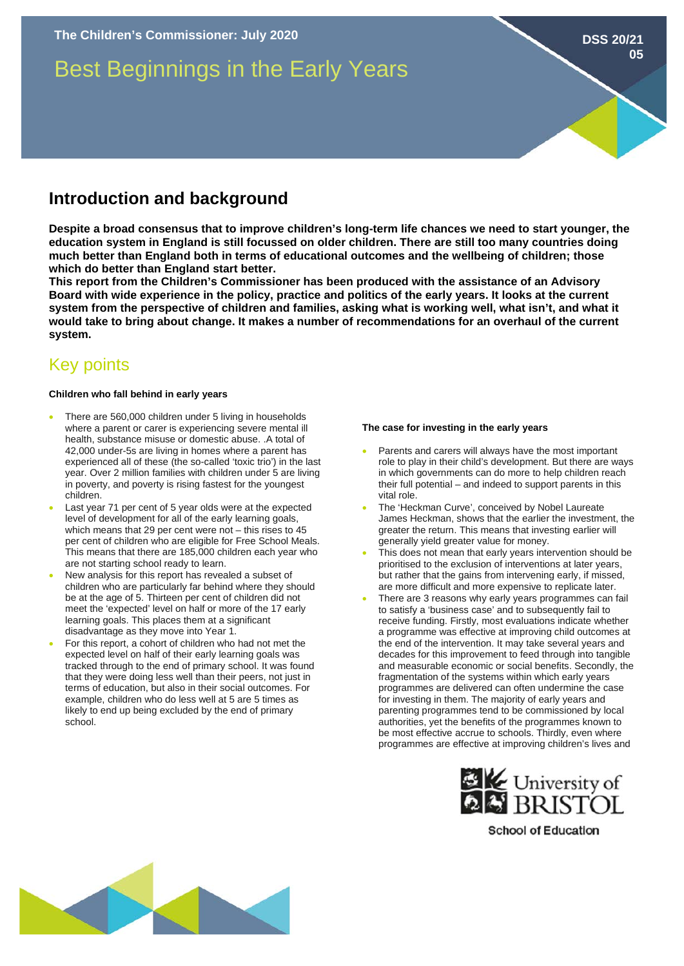# Best Beginnings in the Early Years

## **Introduction and background**

**Despite a broad consensus that to improve children's long-term life chances we need to start younger, the education system in England is still focussed on older children. There are still too many countries doing much better than England both in terms of educational outcomes and the wellbeing of children; those which do better than England start better.** 

**This report from the Children's Commissioner has been produced with the assistance of an Advisory Board with wide experience in the policy, practice and politics of the early years. It looks at the current system from the perspective of children and families, asking what is working well, what isn't, and what it would take to bring about change. It makes a number of recommendations for an overhaul of the current system.** 

# Key points

### **Children who fall behind in early years**

- There are 560,000 children under 5 living in households where a parent or carer is experiencing severe mental ill health, substance misuse or domestic abuse. .A total of 42,000 under-5s are living in homes where a parent has experienced all of these (the so-called 'toxic trio') in the last year. Over 2 million families with children under 5 are living in poverty, and poverty is rising fastest for the youngest children.
- Last year 71 per cent of 5 year olds were at the expected level of development for all of the early learning goals, which means that 29 per cent were not – this rises to 45 per cent of children who are eligible for Free School Meals. This means that there are 185,000 children each year who are not starting school ready to learn.
- New analysis for this report has revealed a subset of children who are particularly far behind where they should be at the age of 5. Thirteen per cent of children did not meet the 'expected' level on half or more of the 17 early learning goals. This places them at a significant disadvantage as they move into Year 1.
- For this report, a cohort of children who had not met the expected level on half of their early learning goals was tracked through to the end of primary school. It was found that they were doing less well than their peers, not just in terms of education, but also in their social outcomes. For example, children who do less well at 5 are 5 times as likely to end up being excluded by the end of primary school.

### **The case for investing in the early years**

• Parents and carers will always have the most important role to play in their child's development. But there are ways in which governments can do more to help children reach their full potential – and indeed to support parents in this vital role.

**DSS 20/21**

**05**

- The 'Heckman Curve', conceived by Nobel Laureate James Heckman, shows that the earlier the investment, the greater the return. This means that investing earlier will generally yield greater value for money.
- This does not mean that early years intervention should be prioritised to the exclusion of interventions at later years, but rather that the gains from intervening early, if missed, are more difficult and more expensive to replicate later.
- There are 3 reasons why early years programmes can fail to satisfy a 'business case' and to subsequently fail to receive funding. Firstly, most evaluations indicate whether a programme was effective at improving child outcomes at the end of the intervention. It may take several years and decades for this improvement to feed through into tangible and measurable economic or social benefits. Secondly, the fragmentation of the systems within which early years programmes are delivered can often undermine the case for investing in them. The majority of early years and parenting programmes tend to be commissioned by local authorities, yet the benefits of the programmes known to be most effective accrue to schools. Thirdly, even where programmes are effective at improving children's lives and



**School of Education**